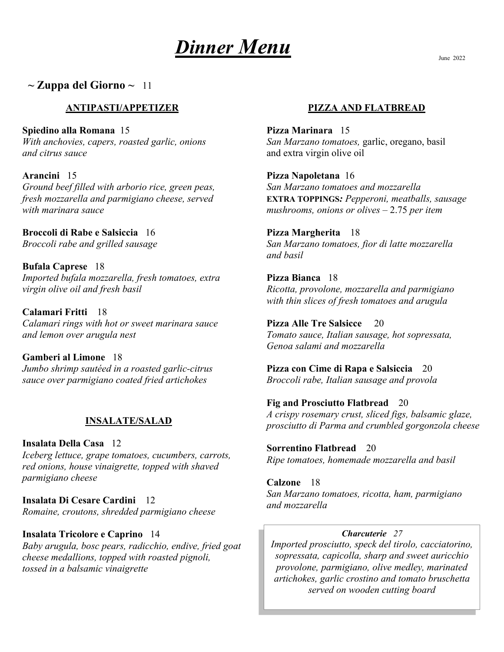# *Dinner Menu*

# **ANTIPASTI/APPETIZER**

**Spiedino alla Romana** 15 *With anchovies, capers, roasted garlic, onions and citrus sauce*

**Arancini** 15 *Ground beef filled with arborio rice, green peas, fresh mozzarella and parmigiano cheese, served with marinara sauce*

**Broccoli di Rabe e Salsiccia** 16 *Broccoli rabe and grilled sausage*

**Bufala Caprese** 18 *Imported bufala mozzarella, fresh tomatoes, extra virgin olive oil and fresh basil*

**Calamari Fritti** 18 *Calamari rings with hot or sweet marinara sauce and lemon over arugula nest*

**Gamberi al Limone** 18 *Jumbo shrimp sautéed in a roasted garlic-citrus sauce over parmigiano coated fried artichokes*

# **INSALATE/SALAD**

**Insalata Della Casa** 12 *Iceberg lettuce, grape tomatoes, cucumbers, carrots, red onions, house vinaigrette, topped with shaved parmigiano cheese*

**Insalata Di Cesare Cardini** 12 *Romaine, croutons, shredded parmigiano cheese*

**Insalata Tricolore e Caprino** 14 *Baby arugula, bosc pears, radicchio, endive, fried goat cheese medallions, topped with roasted pignoli, tossed in a balsamic vinaigrette*

# **PIZZA AND FLATBREAD**

**Pizza Marinara** 15 *San Marzano tomatoes,* garlic, oregano, basil and extra virgin olive oil

**Pizza Napoletana** 16 *San Marzano tomatoes and mozzarella* **EXTRA TOPPINGS***: Pepperoni, meatballs, sausage mushrooms, onions or olives –* 2.75 *per item*

**Pizza Margherita** 18 *San Marzano tomatoes, fior di latte mozzarella and basil* 

**Pizza Bianca** 18 *Ricotta, provolone, mozzarella and parmigiano with thin slices of fresh tomatoes and arugula*

**Pizza Alle Tre Salsicce** 20 *Tomato sauce, Italian sausage, hot sopressata, Genoa salami and mozzarella* 

**Pizza con Cime di Rapa e Salsiccia** 20 *Broccoli rabe, Italian sausage and provola*

**Fig and Prosciutto Flatbread** 20 *A crispy rosemary crust, sliced figs, balsamic glaze, prosciutto di Parma and crumbled gorgonzola cheese* 

**Sorrentino Flatbread**20 *Ripe tomatoes, homemade mozzarella and basil*

**Calzone** 18 *San Marzano tomatoes, ricotta, ham, parmigiano and mozzarella* 

# *Charcuterie 27*

*Imported prosciutto, speck del tirolo, cacciatorino, sopressata, capicolla, sharp and sweet auricchio provolone, parmigiano, olive medley, marinated artichokes, garlic crostino and tomato bruschetta served on wooden cutting board*